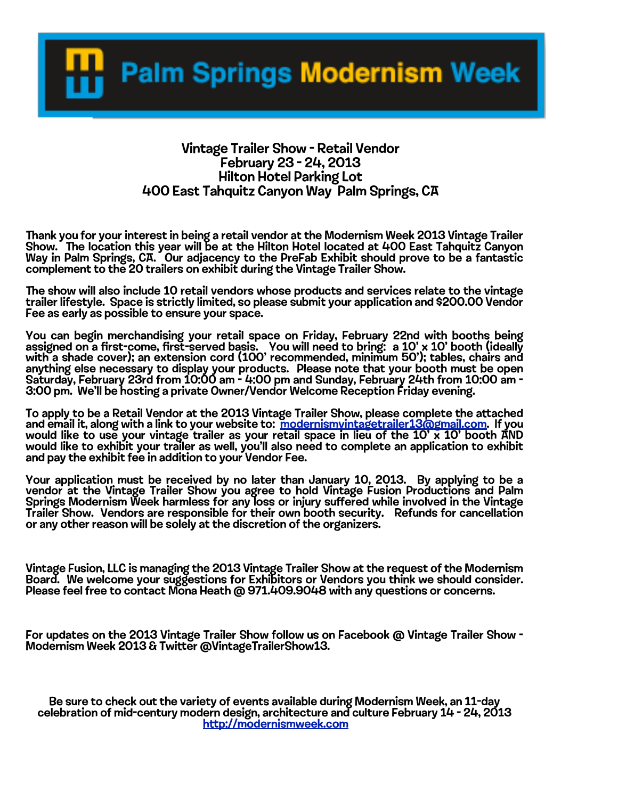**Palm Springs Modernism Week** 

## Vintage Trailer Show - Retail Vendor February 23 - 24, 2013 Hilton Hotel Parking Lot 400 East Tahquitz Canyon Way Palm Springs, CA

Thank you for your interest in being a retail vendor at the Modernism Week 2013 Vintage Trailer<br>Show. The location this year will be at the Hilton Hotel located at 400 East Tahquitz Canyon<br>Way in Palm Springs, CA. Our complement to the 20 trailers on exhibit during the Vintage Trailer Show.

The show will also include 10 retail vendors whose products and services relate to the vintage<br>trailer lifestyle. Space is strictly limited, so please submit your application and \$200.00 Vendor Fee as early as possible to ensure your space.

You can begin merchandising your retail space on Friday, February 22nd with booths being assigned on a first-come, first-served basis. You will need to bring: a 10' x 10' booth (ideally with a shade cover); an extension cord (100' recommended, minimum 50'); tables, chairs and anything else necessary to display your products. Please note that your booth must be open Saturday, February 23rd from 10:00 am - 4:00 pm and Sunday, February 24th from 10:00 am - 3:00 pm. We'll be hosting a private Owner/Vendor Welcome Reception Friday evening.

To apply to be a Retail Vendor at the 2013 Vintage Trailer Show, please complete the attached and email it, along with a link to your website to: modernism vintagetrailer 13@gmail.com. If you and email it, along with a link to your website to: <mark>modernismvintagetrailer13@gmail.com</mark>. If you<br>would like to use your vintage trailer as your r[etail space in lieu of the 10' x 10' boot](mailto:modernismvintagetrailer13@gmail.com)h AND would like to exhibit your trailer as well, you'll also need to complete an application to exhibit and pay the exhibit fee in addition to your Vendor Fee.

Your application must be received by no later than January 10, 2013. By applying to be a vendor at the Vintage Trailer Show you agree to hold Vintage Fusion Productions and Palm Springs Modernism Week harmless for any loss or injury suffered while involved in the Vintage<br>Trailer Show. Vendors are responsible for their own booth security. Refunds for cancellation or any other reason will be solely at the discretion of the organizers.

Vintage Fusion, LLC is managing the 2013 Vintage Trailer Show at the request of the Modernism Board. We welcome your suggestions for Exhibitors or Vendors you think we should consider.<br>Please feel free to contact Mona Heath @ 971.409.9048 with any questions or concerns.

For updates on the 2013 Vintage Trailer Show follow us on Facebook @ Vintage Trailer Show - Modernism Week 2013 & Twitter @VintageTrailerShow13.

Be sure to check out the variety of events available during Modernism Week, an 11-day<br>celebration of mid-century modern design, architecture and culture February 14 - 24, 2013<br>htt[p://modernismweek.com](http://modernismweek.com)